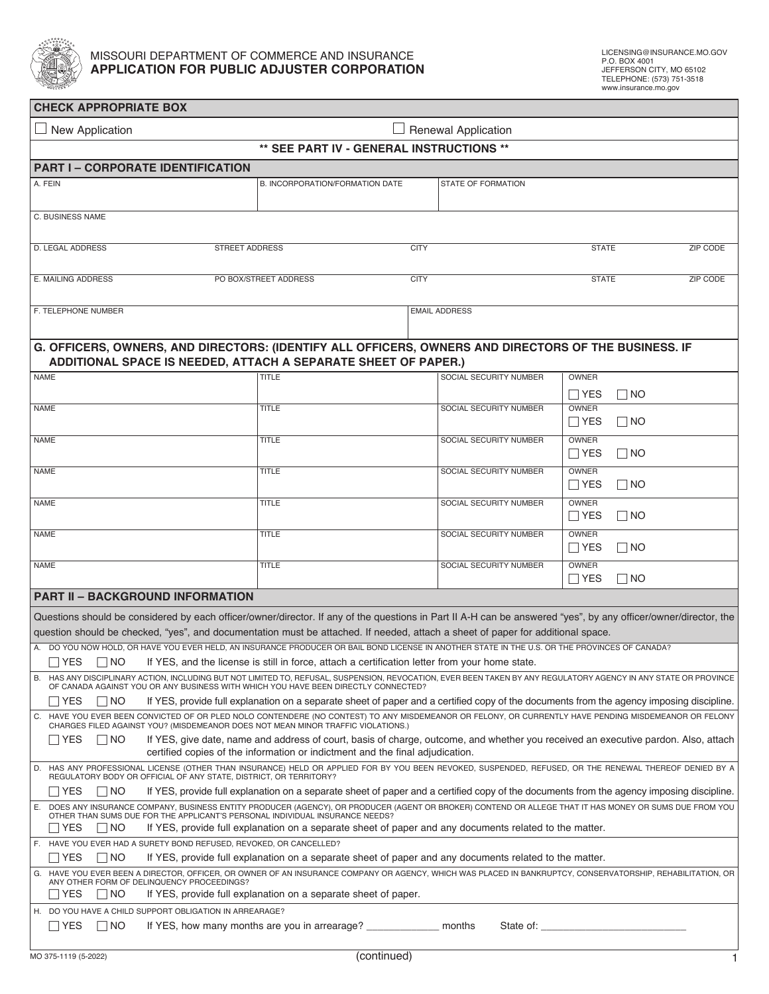

| <b>CHECK APPROPRIATE BOX</b>                                                                                                                                                                                                                                                                       |                                                          |             |                               |                            |           |          |
|----------------------------------------------------------------------------------------------------------------------------------------------------------------------------------------------------------------------------------------------------------------------------------------------------|----------------------------------------------------------|-------------|-------------------------------|----------------------------|-----------|----------|
| $\Box$ Renewal Application<br>New Application                                                                                                                                                                                                                                                      |                                                          |             |                               |                            |           |          |
|                                                                                                                                                                                                                                                                                                    | ** SEE PART IV - GENERAL INSTRUCTIONS **                 |             |                               |                            |           |          |
| <b>PART I - CORPORATE IDENTIFICATION</b>                                                                                                                                                                                                                                                           |                                                          |             |                               |                            |           |          |
| A. FEIN                                                                                                                                                                                                                                                                                            | B. INCORPORATION/FORMATION DATE                          |             | STATE OF FORMATION            |                            |           |          |
|                                                                                                                                                                                                                                                                                                    |                                                          |             |                               |                            |           |          |
| C. BUSINESS NAME                                                                                                                                                                                                                                                                                   |                                                          |             |                               |                            |           |          |
| D. LEGAL ADDRESS<br>STREET ADDRESS                                                                                                                                                                                                                                                                 |                                                          | <b>CITY</b> |                               | <b>STATE</b>               |           | ZIP CODE |
|                                                                                                                                                                                                                                                                                                    |                                                          |             |                               |                            |           |          |
| E. MAILING ADDRESS                                                                                                                                                                                                                                                                                 | PO BOX/STREET ADDRESS                                    | <b>CITY</b> |                               | <b>STATE</b>               |           | ZIP CODE |
|                                                                                                                                                                                                                                                                                                    |                                                          |             |                               |                            |           |          |
| F. TELEPHONE NUMBER                                                                                                                                                                                                                                                                                |                                                          |             | <b>EMAIL ADDRESS</b>          |                            |           |          |
|                                                                                                                                                                                                                                                                                                    |                                                          |             |                               |                            |           |          |
| G. OFFICERS, OWNERS, AND DIRECTORS: (IDENTIFY ALL OFFICERS, OWNERS AND DIRECTORS OF THE BUSINESS. IF<br>ADDITIONAL SPACE IS NEEDED, ATTACH A SEPARATE SHEET OF PAPER.)                                                                                                                             |                                                          |             |                               |                            |           |          |
| <b>NAME</b>                                                                                                                                                                                                                                                                                        | <b>TITLE</b>                                             |             | SOCIAL SECURITY NUMBER        | OWNER                      |           |          |
|                                                                                                                                                                                                                                                                                                    |                                                          |             |                               | $\Box$ YES                 | $\Box$ NO |          |
| <b>NAME</b>                                                                                                                                                                                                                                                                                        | <b>TITLE</b>                                             |             | SOCIAL SECURITY NUMBER        | OWNER                      |           |          |
| <b>NAME</b>                                                                                                                                                                                                                                                                                        | <b>TITLE</b>                                             |             | <b>SOCIAL SECURITY NUMBER</b> | $\Box$ YES<br><b>OWNER</b> | $\Box$ NO |          |
|                                                                                                                                                                                                                                                                                                    |                                                          |             |                               | $\Box$ YES                 | $\Box$ NO |          |
| <b>NAME</b>                                                                                                                                                                                                                                                                                        | <b>TITLE</b>                                             |             | SOCIAL SECURITY NUMBER        | OWNER                      |           |          |
|                                                                                                                                                                                                                                                                                                    |                                                          |             |                               | $\Box$ YES                 | $\Box$ NO |          |
| <b>NAME</b>                                                                                                                                                                                                                                                                                        | <b>TITLE</b>                                             |             | SOCIAL SECURITY NUMBER        | OWNER<br>$\Box$ YES        | $\Box$ NO |          |
| <b>NAME</b>                                                                                                                                                                                                                                                                                        | <b>TITLE</b>                                             |             | SOCIAL SECURITY NUMBER        | OWNER                      |           |          |
|                                                                                                                                                                                                                                                                                                    |                                                          |             |                               | $\Box$ Yes                 | $\Box$ No |          |
| <b>NAME</b>                                                                                                                                                                                                                                                                                        | <b>TITLE</b>                                             |             | SOCIAL SECURITY NUMBER        | OWNER                      |           |          |
|                                                                                                                                                                                                                                                                                                    |                                                          |             |                               | $\sqcap$ Yes               | $\Box$ NO |          |
| <b>PART II - BACKGROUND INFORMATION</b>                                                                                                                                                                                                                                                            |                                                          |             |                               |                            |           |          |
| Questions should be considered by each officer/owner/director. If any of the questions in Part II A-H can be answered "yes", by any officer/owner/director, the<br>question should be checked, "yes", and documentation must be attached. If needed, attach a sheet of paper for additional space. |                                                          |             |                               |                            |           |          |
| A. DO YOU NOW HOLD, OR HAVE YOU EVER HELD, AN INSURANCE PRODUCER OR BAIL BOND LICENSE IN ANOTHER STATE IN THE U.S. OR THE PROVINCES OF CANADA?                                                                                                                                                     |                                                          |             |                               |                            |           |          |
| $\Box$ NO<br>If YES, and the license is still in force, attach a certification letter from your home state<br>$\Box$ YES                                                                                                                                                                           |                                                          |             |                               |                            |           |          |
| HAS ANY DISCIPLINARY ACTION, INCLUDING BUT NOT LIMITED TO, REFUSAL, SUSPENSION, REVOCATION, EVER BEEN TAKEN BY ANY REGULATORY AGENCY IN ANY STATE OR PROVINCE                                                                                                                                      |                                                          |             |                               |                            |           |          |
| OF CANADA AGAINST YOU OR ANY BUSINESS WITH WHICH YOU HAVE BEEN DIRECTLY CONNECTED?<br>$\sqcap$ YES<br>$\Box$ No<br>If YES, provide full explanation on a separate sheet of paper and a certified copy of the documents from the agency imposing discipline.                                        |                                                          |             |                               |                            |           |          |
| C. HAVE YOU EVER BEEN CONVICTED OF OR PLED NOLO CONTENDERE (NO CONTEST) TO ANY MISDEMEANOR OR FELONY, OR CURRENTLY HAVE PENDING MISDEMEANOR OR FELONY<br>CHARGES FILED AGAINST YOU? (MISDEMEANOR DOES NOT MEAN MINOR TRAFFIC VIOLATIONS.)                                                          |                                                          |             |                               |                            |           |          |
| $\sqcap$ YES<br>$\Box$ NO<br>If YES, give date, name and address of court, basis of charge, outcome, and whether you received an executive pardon. Also, attach                                                                                                                                    |                                                          |             |                               |                            |           |          |
| certified copies of the information or indictment and the final adjudication.                                                                                                                                                                                                                      |                                                          |             |                               |                            |           |          |
| HAS ANY PROFESSIONAL LICENSE (OTHER THAN INSURANCE) HELD OR APPLIED FOR BY YOU BEEN REVOKED, SUSPENDED, REFUSED, OR THE RENEWAL THEREOF DENIED BY A<br>D.<br>REGULATORY BODY OR OFFICIAL OF ANY STATE, DISTRICT, OR TERRITORY?                                                                     |                                                          |             |                               |                            |           |          |
| $\Box$ Yes<br>$\Box$ No<br>If YES, provide full explanation on a separate sheet of paper and a certified copy of the documents from the agency imposing discipline.                                                                                                                                |                                                          |             |                               |                            |           |          |
| E. DOES ANY INSURANCE COMPANY, BUSINESS ENTITY PRODUCER (AGENCY), OR PRODUCER (AGENT OR BROKER) CONTEND OR ALLEGE THAT IT HAS MONEY OR SUMS DUE FROM YOU<br>OTHER THAN SUMS DUE FOR THE APPLICANT'S PERSONAL INDIVIDUAL INSURANCE NEEDS?                                                           |                                                          |             |                               |                            |           |          |
| ∏YES<br>$\sqcap$ No<br>If YES, provide full explanation on a separate sheet of paper and any documents related to the matter.                                                                                                                                                                      |                                                          |             |                               |                            |           |          |
| F. HAVE YOU EVER HAD A SURETY BOND REFUSED, REVOKED, OR CANCELLED?<br>∏ YES<br>∏NO<br>If YES, provide full explanation on a separate sheet of paper and any documents related to the matter.                                                                                                       |                                                          |             |                               |                            |           |          |
| G. HAVE YOU EVER BEEN A DIRECTOR, OFFICER, OR OWNER OF AN INSURANCE COMPANY OR AGENCY, WHICH WAS PLACED IN BANKRUPTCY, CONSERVATORSHIP, REHABILITATION, OR                                                                                                                                         |                                                          |             |                               |                            |           |          |
| ANY OTHER FORM OF DELINQUENCY PROCEEDINGS?<br>∏ YES<br>$\Box$ No<br>If YES, provide full explanation on a separate sheet of paper.                                                                                                                                                                 |                                                          |             |                               |                            |           |          |
| H. DO YOU HAVE A CHILD SUPPORT OBLIGATION IN ARREARAGE?                                                                                                                                                                                                                                            |                                                          |             |                               |                            |           |          |
| $\Box$ YES<br>$\Box$ NO                                                                                                                                                                                                                                                                            | If YES, how many months are you in arrearage? __________ |             | months<br>State of:           |                            |           |          |
|                                                                                                                                                                                                                                                                                                    |                                                          |             |                               |                            |           |          |